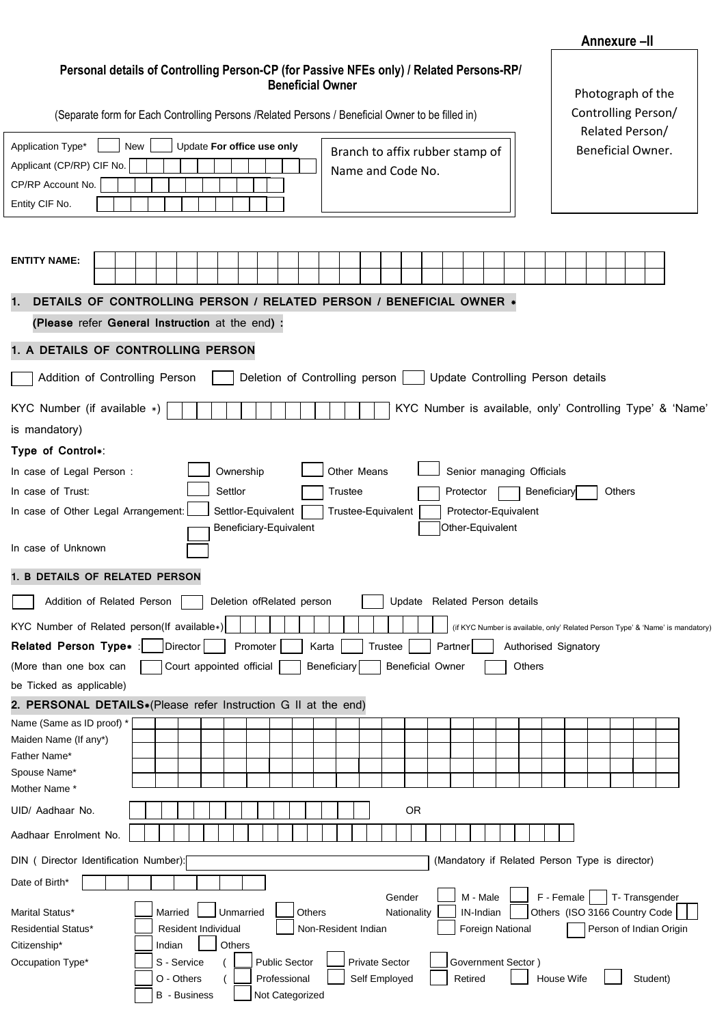## **Personal details of Controlling Person-CP (for Passive NFEs only) / Related Persons-RP/ Beneficial Owner**

**Annexure –II**

|                                                                           | <b>Beneficial Owner</b><br>(Separate form for Each Controlling Persons / Related Persons / Beneficial Owner to be filled in)<br>Update For office use only<br>New |  |         |                                   |                     |                                              |          |  |                                 |        |       |             |                                |         |        | Photograph of the<br>Controlling Person/<br>Related Person/ |  |                                          |                   |                       |  |  |        |             |                                   |  |  |               |                                                |  |                                                                                |
|---------------------------------------------------------------------------|-------------------------------------------------------------------------------------------------------------------------------------------------------------------|--|---------|-----------------------------------|---------------------|----------------------------------------------|----------|--|---------------------------------|--------|-------|-------------|--------------------------------|---------|--------|-------------------------------------------------------------|--|------------------------------------------|-------------------|-----------------------|--|--|--------|-------------|-----------------------------------|--|--|---------------|------------------------------------------------|--|--------------------------------------------------------------------------------|
| Application Type*                                                         |                                                                                                                                                                   |  |         |                                   |                     |                                              |          |  |                                 |        |       |             |                                |         |        |                                                             |  |                                          |                   |                       |  |  |        |             |                                   |  |  |               |                                                |  |                                                                                |
| Applicant (CP/RP) CIF No.                                                 | Branch to affix rubber stamp of<br>Name and Code No.                                                                                                              |  |         |                                   |                     |                                              |          |  |                                 |        |       |             |                                |         |        |                                                             |  |                                          | Beneficial Owner. |                       |  |  |        |             |                                   |  |  |               |                                                |  |                                                                                |
| CP/RP Account No.                                                         |                                                                                                                                                                   |  |         |                                   |                     |                                              |          |  |                                 |        |       |             |                                |         |        |                                                             |  |                                          |                   |                       |  |  |        |             |                                   |  |  |               |                                                |  |                                                                                |
| Entity CIF No.                                                            |                                                                                                                                                                   |  |         |                                   |                     |                                              |          |  |                                 |        |       |             |                                |         |        |                                                             |  |                                          |                   |                       |  |  |        |             |                                   |  |  |               |                                                |  |                                                                                |
|                                                                           |                                                                                                                                                                   |  |         |                                   |                     |                                              |          |  |                                 |        |       |             |                                |         |        |                                                             |  |                                          |                   |                       |  |  |        |             |                                   |  |  |               |                                                |  |                                                                                |
| <b>ENTITY NAME:</b>                                                       |                                                                                                                                                                   |  |         |                                   |                     |                                              |          |  |                                 |        |       |             |                                |         |        |                                                             |  |                                          |                   |                       |  |  |        |             |                                   |  |  |               |                                                |  |                                                                                |
| DETAILS OF CONTROLLING PERSON / RELATED PERSON / BENEFICIAL OWNER *<br>1. |                                                                                                                                                                   |  |         |                                   |                     |                                              |          |  |                                 |        |       |             |                                |         |        |                                                             |  |                                          |                   |                       |  |  |        |             |                                   |  |  |               |                                                |  |                                                                                |
| (Please refer General Instruction at the end) :                           |                                                                                                                                                                   |  |         |                                   |                     |                                              |          |  |                                 |        |       |             |                                |         |        |                                                             |  |                                          |                   |                       |  |  |        |             |                                   |  |  |               |                                                |  |                                                                                |
| 1. A DETAILS OF CONTROLLING PERSON                                        |                                                                                                                                                                   |  |         |                                   |                     |                                              |          |  |                                 |        |       |             |                                |         |        |                                                             |  |                                          |                   |                       |  |  |        |             |                                   |  |  |               |                                                |  |                                                                                |
| Addition of Controlling Person                                            |                                                                                                                                                                   |  |         |                                   |                     |                                              |          |  |                                 |        |       |             | Deletion of Controlling person |         |        |                                                             |  |                                          |                   |                       |  |  |        |             | Update Controlling Person details |  |  |               |                                                |  |                                                                                |
| KYC Number (if available *)                                               |                                                                                                                                                                   |  |         |                                   |                     |                                              |          |  |                                 |        |       |             |                                |         |        |                                                             |  |                                          |                   |                       |  |  |        |             |                                   |  |  |               |                                                |  | KYC Number is available, only' Controlling Type' & 'Name'                      |
| is mandatory)                                                             |                                                                                                                                                                   |  |         |                                   |                     |                                              |          |  |                                 |        |       |             |                                |         |        |                                                             |  |                                          |                   |                       |  |  |        |             |                                   |  |  |               |                                                |  |                                                                                |
| Type of Control*:                                                         |                                                                                                                                                                   |  |         |                                   |                     |                                              |          |  |                                 |        |       |             |                                |         |        |                                                             |  |                                          |                   |                       |  |  |        |             |                                   |  |  |               |                                                |  |                                                                                |
| In case of Legal Person:                                                  |                                                                                                                                                                   |  |         |                                   |                     | Ownership                                    |          |  |                                 |        |       |             | Other Means                    |         |        |                                                             |  | Senior managing Officials                |                   |                       |  |  |        |             |                                   |  |  |               |                                                |  |                                                                                |
| In case of Trust:                                                         |                                                                                                                                                                   |  |         |                                   |                     | Settlor                                      |          |  |                                 |        |       | Trustee     |                                |         |        |                                                             |  | Protector                                |                   |                       |  |  |        | Beneficiary |                                   |  |  | <b>Others</b> |                                                |  |                                                                                |
| In case of Other Legal Arrangement:                                       |                                                                                                                                                                   |  |         |                                   |                     | Settlor-Equivalent<br>Beneficiary-Equivalent |          |  |                                 |        |       |             | Trustee-Equivalent             |         |        |                                                             |  | Protector-Equivalent<br>Other-Equivalent |                   |                       |  |  |        |             |                                   |  |  |               |                                                |  |                                                                                |
| In case of Unknown                                                        |                                                                                                                                                                   |  |         |                                   |                     |                                              |          |  |                                 |        |       |             |                                |         |        |                                                             |  |                                          |                   |                       |  |  |        |             |                                   |  |  |               |                                                |  |                                                                                |
| 1. B DETAILS OF RELATED PERSON                                            |                                                                                                                                                                   |  |         |                                   |                     |                                              |          |  |                                 |        |       |             |                                |         |        |                                                             |  |                                          |                   |                       |  |  |        |             |                                   |  |  |               |                                                |  |                                                                                |
| Addition of Related Person                                                |                                                                                                                                                                   |  |         |                                   |                     | Deletion ofRelated person                    |          |  |                                 |        |       |             |                                |         |        | Update Related Person details                               |  |                                          |                   |                       |  |  |        |             |                                   |  |  |               |                                                |  |                                                                                |
| KYC Number of Related person(If available*)                               |                                                                                                                                                                   |  |         |                                   |                     |                                              |          |  |                                 |        |       |             |                                |         |        |                                                             |  |                                          |                   |                       |  |  |        |             |                                   |  |  |               |                                                |  | (if KYC Number is available, only' Related Person Type' & 'Name' is mandatory) |
| Related Person Type* :                                                    |                                                                                                                                                                   |  |         | Director                          |                     |                                              | Promoter |  |                                 |        | Karta |             |                                | Trustee |        |                                                             |  | Partner                                  |                   |                       |  |  |        |             | Authorised Signatory              |  |  |               |                                                |  |                                                                                |
| (More than one box can                                                    |                                                                                                                                                                   |  |         |                                   |                     | Court appointed official                     |          |  |                                 |        |       | Beneficiary |                                |         |        | <b>Beneficial Owner</b>                                     |  |                                          |                   |                       |  |  | Others |             |                                   |  |  |               |                                                |  |                                                                                |
| be Ticked as applicable)                                                  |                                                                                                                                                                   |  |         |                                   |                     |                                              |          |  |                                 |        |       |             |                                |         |        |                                                             |  |                                          |                   |                       |  |  |        |             |                                   |  |  |               |                                                |  |                                                                                |
| 2. PERSONAL DETAILS*(Please refer Instruction G II at the end)            |                                                                                                                                                                   |  |         |                                   |                     |                                              |          |  |                                 |        |       |             |                                |         |        |                                                             |  |                                          |                   |                       |  |  |        |             |                                   |  |  |               |                                                |  |                                                                                |
| Name (Same as ID proof) *                                                 |                                                                                                                                                                   |  |         |                                   |                     |                                              |          |  |                                 |        |       |             |                                |         |        |                                                             |  |                                          |                   |                       |  |  |        |             |                                   |  |  |               |                                                |  |                                                                                |
| Maiden Name (If any*)<br>Father Name*                                     |                                                                                                                                                                   |  |         |                                   |                     |                                              |          |  |                                 |        |       |             |                                |         |        |                                                             |  |                                          |                   |                       |  |  |        |             |                                   |  |  |               |                                                |  |                                                                                |
| Spouse Name*                                                              |                                                                                                                                                                   |  |         |                                   |                     |                                              |          |  |                                 |        |       |             |                                |         |        |                                                             |  |                                          |                   |                       |  |  |        |             |                                   |  |  |               |                                                |  |                                                                                |
| Mother Name*                                                              |                                                                                                                                                                   |  |         |                                   |                     |                                              |          |  |                                 |        |       |             |                                |         |        |                                                             |  |                                          |                   |                       |  |  |        |             |                                   |  |  |               |                                                |  |                                                                                |
| UID/ Aadhaar No.                                                          |                                                                                                                                                                   |  |         |                                   |                     |                                              |          |  |                                 |        |       |             |                                |         |        | OR                                                          |  |                                          |                   |                       |  |  |        |             |                                   |  |  |               |                                                |  |                                                                                |
| Aadhaar Enrolment No.                                                     |                                                                                                                                                                   |  |         |                                   |                     |                                              |          |  |                                 |        |       |             |                                |         |        |                                                             |  |                                          |                   |                       |  |  |        |             |                                   |  |  |               |                                                |  |                                                                                |
| DIN ( Director Identification Number):                                    |                                                                                                                                                                   |  |         |                                   |                     |                                              |          |  |                                 |        |       |             |                                |         |        |                                                             |  |                                          |                   |                       |  |  |        |             |                                   |  |  |               | (Mandatory if Related Person Type is director) |  |                                                                                |
| Date of Birth*                                                            |                                                                                                                                                                   |  |         |                                   |                     |                                              |          |  |                                 |        |       |             |                                |         |        |                                                             |  |                                          |                   |                       |  |  |        |             |                                   |  |  |               |                                                |  |                                                                                |
| Marital Status*                                                           |                                                                                                                                                                   |  | Married |                                   |                     | Unmarried                                    |          |  |                                 | Others |       |             |                                |         | Gender | Nationality                                                 |  |                                          |                   | M - Male<br>IN-Indian |  |  |        |             | F - Female                        |  |  |               | T-Transgender<br>Others (ISO 3166 Country Code |  |                                                                                |
| <b>Residential Status*</b>                                                |                                                                                                                                                                   |  |         |                                   | Resident Individual |                                              |          |  |                                 |        |       |             | Non-Resident Indian            |         |        |                                                             |  |                                          |                   | Foreign National      |  |  |        |             |                                   |  |  |               | Person of Indian Origin                        |  |                                                                                |
| Citizenship*                                                              |                                                                                                                                                                   |  | Indian  |                                   |                     | Others                                       |          |  |                                 |        |       |             |                                |         |        |                                                             |  |                                          |                   |                       |  |  |        |             |                                   |  |  |               |                                                |  |                                                                                |
| Occupation Type*                                                          |                                                                                                                                                                   |  |         | S - Service                       |                     |                                              |          |  | <b>Public Sector</b>            |        |       |             | <b>Private Sector</b>          |         |        |                                                             |  |                                          |                   | Government Sector)    |  |  |        |             |                                   |  |  |               |                                                |  |                                                                                |
|                                                                           |                                                                                                                                                                   |  |         | O - Others<br><b>B</b> - Business |                     |                                              |          |  | Professional<br>Not Categorized |        |       |             | Self Employed                  |         |        |                                                             |  |                                          | Retired           |                       |  |  |        |             | House Wife                        |  |  |               | Student)                                       |  |                                                                                |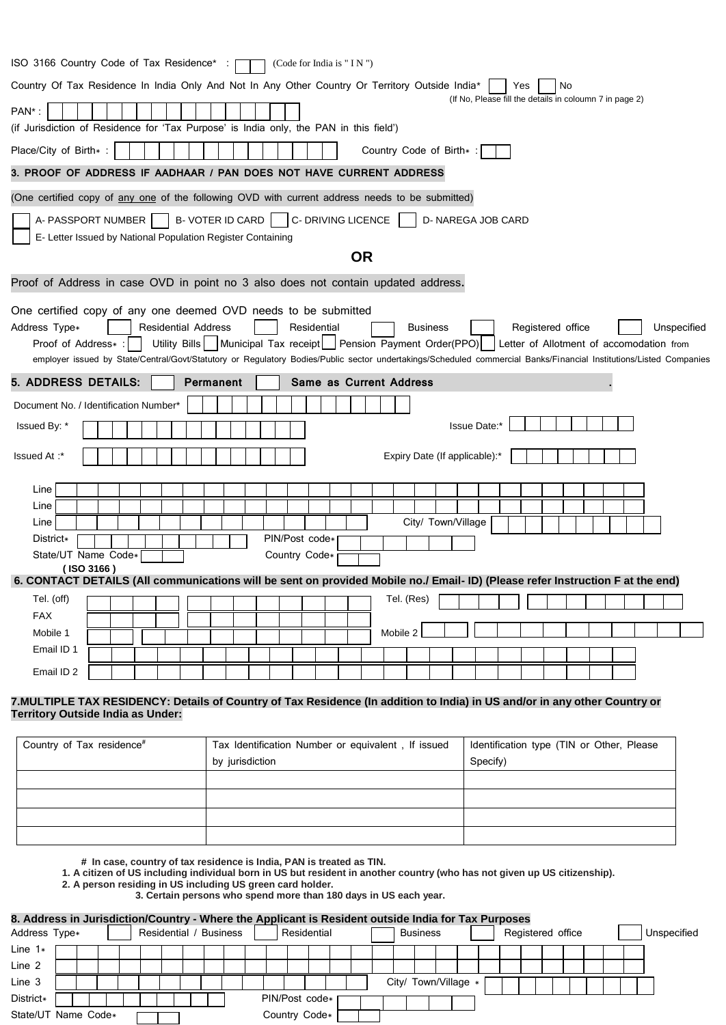| ISO 3166 Country Code of Tax Residence*:<br>(Code for India is $" IN"$ )                                                                                                                                                                                                                                                                                                                                                                                                                           |
|----------------------------------------------------------------------------------------------------------------------------------------------------------------------------------------------------------------------------------------------------------------------------------------------------------------------------------------------------------------------------------------------------------------------------------------------------------------------------------------------------|
| Country Of Tax Residence In India Only And Not In Any Other Country Or Territory Outside India*<br>Yes<br>No.                                                                                                                                                                                                                                                                                                                                                                                      |
| (If No, Please fill the details in coloumn 7 in page 2)<br>PAN*:<br>(if Jurisdiction of Residence for 'Tax Purpose' is India only, the PAN in this field')                                                                                                                                                                                                                                                                                                                                         |
| Place/City of Birth*:<br>Country Code of Birth*:                                                                                                                                                                                                                                                                                                                                                                                                                                                   |
| 3. PROOF OF ADDRESS IF AADHAAR / PAN DOES NOT HAVE CURRENT ADDRESS                                                                                                                                                                                                                                                                                                                                                                                                                                 |
| (One certified copy of any one of the following OVD with current address needs to be submitted)                                                                                                                                                                                                                                                                                                                                                                                                    |
| <b>B-VOTER ID CARD</b><br>C- DRIVING LICENCE<br>A- PASSPORT NUMBER<br>D- NAREGA JOB CARD<br>E- Letter Issued by National Population Register Containing                                                                                                                                                                                                                                                                                                                                            |
| <b>OR</b>                                                                                                                                                                                                                                                                                                                                                                                                                                                                                          |
| Proof of Address in case OVD in point no 3 also does not contain updated address.                                                                                                                                                                                                                                                                                                                                                                                                                  |
| One certified copy of any one deemed OVD needs to be submitted<br>Address Type*<br><b>Residential Address</b><br>Residential<br>Unspecified<br><b>Business</b><br>Registered office<br>Municipal Tax receipt   Pension Payment Order(PPO)<br>Utility Bills<br>Letter of Allotment of accomodation from<br>Proof of Address*:<br>employer issued by State/Central/Govt/Statutory or Regulatory Bodies/Public sector undertakings/Scheduled commercial Banks/Financial Institutions/Listed Companies |
| <b>5. ADDRESS DETAILS:</b><br><b>Permanent</b><br><b>Same as Current Address</b>                                                                                                                                                                                                                                                                                                                                                                                                                   |
| Document No. / Identification Number*                                                                                                                                                                                                                                                                                                                                                                                                                                                              |
| Issue Date:*<br>Issued By: *                                                                                                                                                                                                                                                                                                                                                                                                                                                                       |
| Expiry Date (If applicable):*<br>lssued At :*                                                                                                                                                                                                                                                                                                                                                                                                                                                      |
| Line                                                                                                                                                                                                                                                                                                                                                                                                                                                                                               |
| Line                                                                                                                                                                                                                                                                                                                                                                                                                                                                                               |
| City/ Town/Village<br>Line                                                                                                                                                                                                                                                                                                                                                                                                                                                                         |
| PIN/Post code*<br>District*                                                                                                                                                                                                                                                                                                                                                                                                                                                                        |
| State/UT Name Code*<br>Country Code*<br>(ISO 3166)                                                                                                                                                                                                                                                                                                                                                                                                                                                 |
| 6. CONTACT DETAILS (All communications will be sent on provided Mobile no./ Email- ID) (Please refer Instruction F at the end)                                                                                                                                                                                                                                                                                                                                                                     |
| Tel. (off)<br>Tel. (Res)                                                                                                                                                                                                                                                                                                                                                                                                                                                                           |
| <b>FAX</b>                                                                                                                                                                                                                                                                                                                                                                                                                                                                                         |
| Mobile 2<br>Mobile 1                                                                                                                                                                                                                                                                                                                                                                                                                                                                               |
| Email ID 1                                                                                                                                                                                                                                                                                                                                                                                                                                                                                         |
|                                                                                                                                                                                                                                                                                                                                                                                                                                                                                                    |

## **7.MULTIPLE TAX RESIDENCY: Details of Country of Tax Residence (In addition to India) in US and/or in any other Country or Territory Outside India as Under:**

| Country of Tax residence# | Tax Identification Number or equivalent, If issued | Identification type (TIN or Other, Please |
|---------------------------|----------------------------------------------------|-------------------------------------------|
|                           | by jurisdiction                                    | Specify)                                  |
|                           |                                                    |                                           |
|                           |                                                    |                                           |
|                           |                                                    |                                           |
|                           |                                                    |                                           |

 **# In case, country of tax residence is India, PAN is treated as TIN.** 

**1. A citizen of US including individual born in US but resident in another country (who has not given up US citizenship).** 

- **2. A person residing in US including US green card holder.**
	- **3. Certain persons who spend more than 180 days in US each year.**

## **8. Address in Jurisdiction/Country - Where the Applicant is Resident outside India for Tax Purposes**

| Residential /<br>Address Type* |  |  |  |  |  |  | / Business | Residential |                |  |  |  | <b>Business</b> |  |  |  |                      |  | Registered office |  | Unspecified |  |  |  |
|--------------------------------|--|--|--|--|--|--|------------|-------------|----------------|--|--|--|-----------------|--|--|--|----------------------|--|-------------------|--|-------------|--|--|--|
| Line $1*$                      |  |  |  |  |  |  |            |             |                |  |  |  |                 |  |  |  |                      |  |                   |  |             |  |  |  |
| Line 2                         |  |  |  |  |  |  |            |             |                |  |  |  |                 |  |  |  |                      |  |                   |  |             |  |  |  |
| Line 3                         |  |  |  |  |  |  |            |             |                |  |  |  |                 |  |  |  | City/ Town/Village * |  |                   |  |             |  |  |  |
| District*                      |  |  |  |  |  |  |            |             | PIN/Post code* |  |  |  |                 |  |  |  |                      |  |                   |  |             |  |  |  |
| State/UT Name Code*            |  |  |  |  |  |  |            |             | Country Code*  |  |  |  |                 |  |  |  |                      |  |                   |  |             |  |  |  |